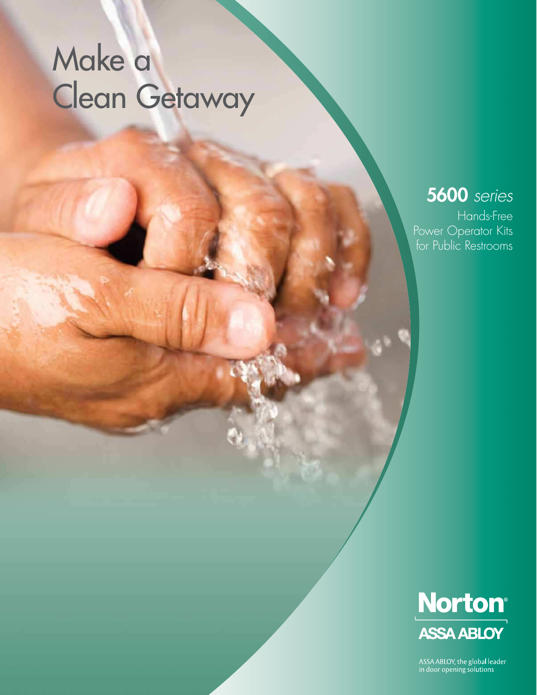# Make a Clean Getaway

## **5600** series

Hands-Free Power Operator Kits for Public Restrooms



ASSA ABLOY, the global leader<br>in door opening solutions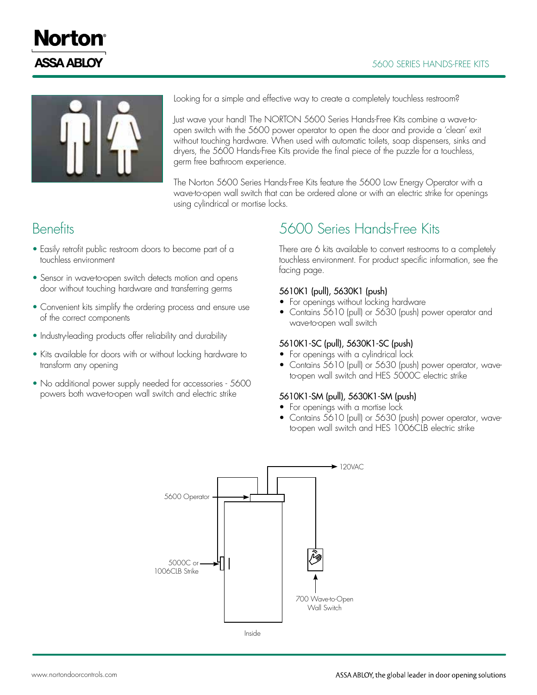#### 5600 SEriES HANdS-FrEE KiTS





Looking for a simple and effective way to create a completely touchless restroom?

Just wave your hand! The NORTON 5600 Series Hands-Free Kits combine a wave-toopen switch with the 5600 power operator to open the door and provide a 'clean' exit without touching hardware. When used with automatic toilets, soap dispensers, sinks and dryers, the 5600 Hands-Free Kits provide the final piece of the puzzle for a touchless, germ free bathroom experience.

The Norton 5600 Series Hands-Free Kits feature the 5600 Low Energy Operator with a wave-to-open wall switch that can be ordered alone or with an electric strike for openings using cylindrical or mortise locks.

### **Benefits**

- Easily retrofit public restroom doors to become part of a touchless environment
- Sensor in wave-to-open switch detects motion and opens door without touching hardware and transferring germs
- Convenient kits simplify the ordering process and ensure use of the correct components
- Industry-leading products offer reliability and durability
- Kits available for doors with or without locking hardware to transform any opening
- No additional power supply needed for accessories 5600 powers both wave-to-open wall switch and electric strike

## 5600 Series Hands-Free Kits

There are 6 kits available to convert restrooms to a completely touchless environment. For product specific information, see the facing page.

#### 5610K1 (pull), 5630K1 (push)

- For openings without locking hardware
- Contains 5610 (pull) or 5630 (push) power operator and wave-to-open wall switch

#### 5610K1-SC (pull), 5630K1-SC (push)

- For openings with a cylindrical lock
- Contains  $5610$  (pull) or 5630 (push) power operator, waveto-open wall switch and HES 5000C electric strike

#### 5610K1-SM (pull), 5630K1-SM (push)

- For openings with a mortise lock
- Contains 5610 (pull) or 5630 (push) power operator, waveto-open wall switch and HES 1006CLB electric strike

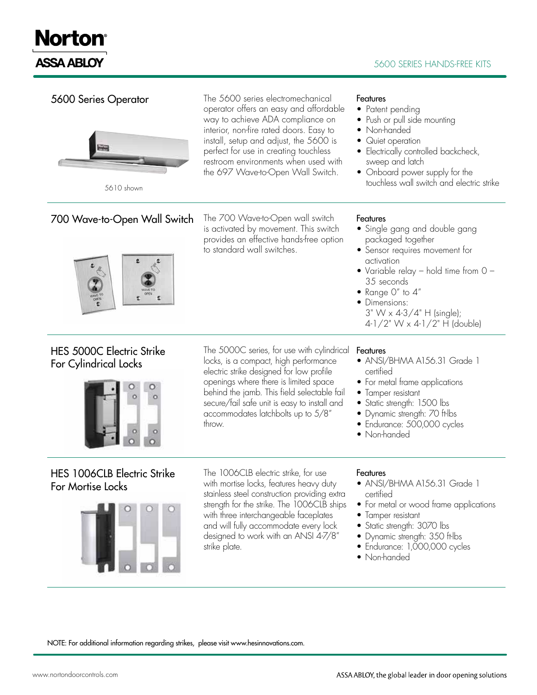# **Norton® ASSA ABLOY**

#### **5600 SERIES HANDS-FREE KITS**

| 5600 Series Operator<br>5610 shown                        | The 5600 series electromechanical<br>operator offers an easy and affordable<br>way to achieve ADA compliance on<br>interior, non-fire rated doors. Easy to<br>install, setup and adjust, the 5600 is<br>perfect for use in creating touchless<br>restroom environments when used with<br>the 697 Wave-to-Open Wall Switch. | Features<br>• Patent pending<br>• Push or pull side mounting<br>• Non-handed<br>• Quiet operation<br>• Electrically controlled backcheck,<br>sweep and latch<br>• Onboard power supply for the<br>touchless wall switch and electric strike                                     |
|-----------------------------------------------------------|----------------------------------------------------------------------------------------------------------------------------------------------------------------------------------------------------------------------------------------------------------------------------------------------------------------------------|---------------------------------------------------------------------------------------------------------------------------------------------------------------------------------------------------------------------------------------------------------------------------------|
| 700 Wave-to-Open Wall Switch                              | The 700 Wave-to-Open wall switch<br>is activated by movement. This switch<br>provides an effective hands-free option<br>to standard wall switches.                                                                                                                                                                         | Features<br>• Single gang and double gang<br>packaged together<br>• Sensor requires movement for<br>activation<br>• Variable relay – hold time from $O -$<br>35 seconds<br>• Range $0''$ to $4''$<br>• Dimensions:<br>3" W x 4-3/4" H (single);<br>4-1/2" W x 4-1/2" H (double) |
| <b>HES 5000C Electric Strike</b><br>For Cylindrical Locks | The 5000C series, for use with cylindrical<br>locks, is a compact, high performance<br>electric strike designed for low profile<br>openings where there is limited space<br>behind the jamb. This field selectable fail<br>secure/fail safe unit is easy to install and<br>accommodates latchbolts up to 5/8"<br>throw.    | Features<br>• ANSI/BHMA A156.31 Grade 1<br>certified<br>• For metal frame applications<br>• Tamper resistant<br>• Static strength: 1500 lbs<br>• Dynamic strength: 70 ft-lbs<br>• Endurance: 500,000 cycles<br>• Non-handed                                                     |
| HES 1006CLB Electric Strike<br>For Mortise Locks          | The 1006CLB electric strike, for use<br>with mortise locks, features heavy duty<br>stainless steel construction providing extra<br>strength for the strike. The 1006CLB ships<br>with three interchangeable faceplates<br>and will fully accommodate every lock<br>designed to work with an ANSI 4-7/8"<br>strike plate.   | Features<br>• ANSI/BHMA A156.31 Grade 1<br>certified<br>• For metal or wood frame applications<br>• Tamper resistant<br>• Static strength: 3070 lbs<br>• Dynamic strength: 350 ft-lbs<br>• Endurance: 1,000,000 cycles<br>• Non-handed                                          |

NOTE: For additional information regarding strikes, please visit www.hesinnovations.com.